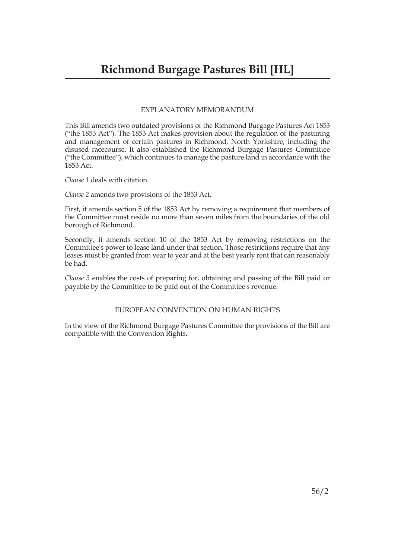#### EXPLANATORY MEMORANDUM

This Bill amends two outdated provisions of the Richmond Burgage Pastures Act 1853 ("the 1853 Act"). The 1853 Act makes provision about the regulation of the pasturing and management of certain pastures in Richmond, North Yorkshire, including the disused racecourse. It also established the Richmond Burgage Pastures Committee ("the Committee"), which continues to manage the pasture land in accordance with the 1853 Act.

*Clause 1* deals with citation.

*Clause 2* amends two provisions of the 1853 Act.

First, it amends section 5 of the 1853 Act by removing a requirement that members of the Committee must reside no more than seven miles from the boundaries of the old borough of Richmond.

Secondly, it amends section 10 of the 1853 Act by removing restrictions on the Committee's power to lease land under that section. Those restrictions require that any leases must be granted from year to year and at the best yearly rent that can reasonably be had.

*Clause 3* enables the costs of preparing for, obtaining and passing of the Bill paid or payable by the Committee to be paid out of the Committee's revenue.

#### EUROPEAN CONVENTION ON HUMAN RIGHTS

In the view of the Richmond Burgage Pastures Committee the provisions of the Bill are compatible with the Convention Rights.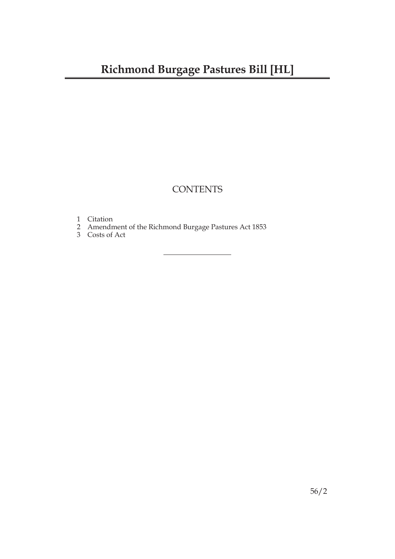### **CONTENTS**

- 1 Citation
- 2 Amendment of the Richmond Burgage Pastures Act 1853
- 3 Costs of Act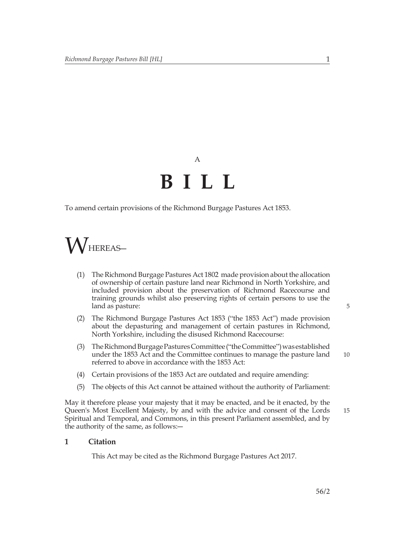# A **BILL**

To amend certain provisions of the Richmond Burgage Pastures Act 1853.



- (1) The Richmond Burgage Pastures Act 1802 made provision about the allocation of ownership of certain pasture land near Richmond in North Yorkshire, and included provision about the preservation of Richmond Racecourse and training grounds whilst also preserving rights of certain persons to use the land as pasture:
- (2) The Richmond Burgage Pastures Act 1853 ("the 1853 Act") made provision about the depasturing and management of certain pastures in Richmond, North Yorkshire, including the disused Richmond Racecourse:
- (3) The Richmond Burgage Pastures Committee ("the Committee") was established under the 1853 Act and the Committee continues to manage the pasture land referred to above in accordance with the 1853 Act:
- (4) Certain provisions of the 1853 Act are outdated and require amending:
- (5) The objects of this Act cannot be attained without the authority of Parliament:

May it therefore please your majesty that it may be enacted, and be it enacted, by the Queen's Most Excellent Majesty, by and with the advice and consent of the Lords Spiritual and Temporal, and Commons, in this present Parliament assembled, and by the authority of the same, as follows:―

#### **1 Citation**

This Act may be cited as the Richmond Burgage Pastures Act 2017.

5

10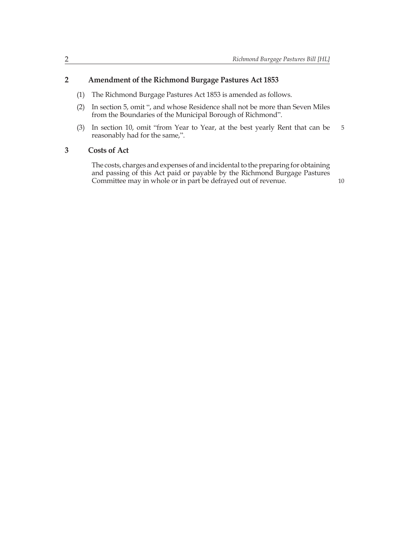#### **2 Amendment of the Richmond Burgage Pastures Act 1853**

- (1) The Richmond Burgage Pastures Act 1853 is amended as follows.
- (2) In section 5, omit ", and whose Residence shall not be more than Seven Miles from the Boundaries of the Municipal Borough of Richmond".
- (3) In section 10, omit "from Year to Year, at the best yearly Rent that can be reasonably had for the same,". 5

#### **3 Costs of Act**

The costs, charges and expenses of and incidental to the preparing for obtaining and passing of this Act paid or payable by the Richmond Burgage Pastures Committee may in whole or in part be defrayed out of revenue.